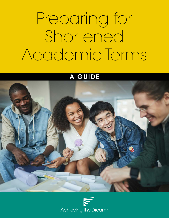## SHORTENED ACADEMIC TERMS FOR EXPANDED STUDENT SUCCESS Preparing for Shortened Academic Terms

### A GUIDE



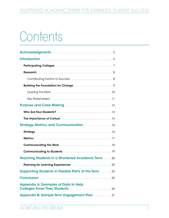## Contents

| Purpose and Case Making  12                                  |
|--------------------------------------------------------------|
|                                                              |
|                                                              |
|                                                              |
|                                                              |
|                                                              |
|                                                              |
|                                                              |
| <b>Teaching Students in a Shortened Academic Term  20</b>    |
|                                                              |
| <b>Supporting Students in Flexible Parts of the Term  23</b> |
|                                                              |
| <b>Appendix A: Examples of Data to Help</b>                  |
| Appendix B: Sample Term Engagement Plan  27                  |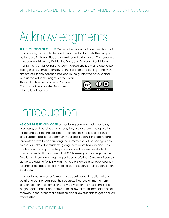## Acknowledgments

THE DEVELOPMENT OF THIS Guide is the product of countless hours of hard work by many talented and dedicated individuals. The prinipal authors are Dr. Laurie Fladd, Jon Iuzzini, and Julia Lawton. The reviewers were Jennifer Hill-Kelley, Dr. Monica Trent, and Dr. Karen Stout. Many thanks the ATD Marketing and Communications team and also Jesse Springer and Jennifer Hornsby for their design and editing. Finally, we are grateful to the colleges included in the guide who have shared

with us the valuable insights of their work. This work is licensed under a Creative Commons Attribution-NoDerivatives 4.0 International License.



## Introduction

AS COLLEGES FOCUS MORE on centering equity in their structures, processes, and policies on campus, they are re-examining operations inside and outside the classroom. They are looking to better serve and support traditional community college students in creative and innovative ways. Deconstructing the semester structure changes how classes are offered to students, giving them more flexibility and more continuous on-ramps. This helps support and accelerate students toward a credential of value. What ATD is seeing from colleges in the field is that there is nothing magical about offering 15 weeks of course delivery; providing flexibility with multiple on-ramps, and fewer courses for shorter periods of time, is helping colleges serve their students more equitably.

In a traditional semester format, if a student has a disruption at any point and cannot continue their courses, they lose all momentum and credit—for that semester and must wait for the next semester to begin again. Shorter academic terms allow for more immediate credit recovery in the event of a disruption and allow students to get back on track faster.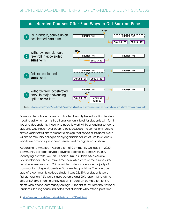

Some students have more complicated lives. Higher education leaders need to ask whether this traditional option is best for students with families and dependents, those who need to work while attending school, or students who have never been to college. Does the semester structure at two-year institutions represent a design that serves its students well? Or are community colleges applying traditional structures to students who have historically not been served well by higher education?

According to American Association of Community Colleges, in 2020 community colleges served a diverse body of students, with 46% identifying as white, 26% as Hispanic, 13% as Black, 6% as Asian/ Pacific Islander, 1% as Native American, 4% as two or more races, 4% as other/unknown, and 2% as resident alien students. A majority of community college students, 64%, attended part-time. The average age of a community college student was 28, 29% of students were first generation, 15% were single parents, and 20% report living with a disability. 1 Enrollment intensity has an impact on completion for students who attend community college. A recent study from the National Student Clearinghouse indicates that students who attend part-time

<sup>1</sup> [https://www.aacc.nche.edu/research-trends/fastfacts/aacc-2020-fact-sheet/](https://www.aacc.nche.edu/research-trends/fast-facts/aacc-2020-fact-sheet/)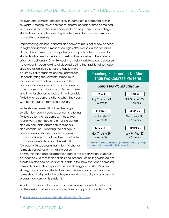for even one semester are less likely to complete a credential within six years. 2 Offering fewer courses for shorter periods of time combined with options for continuous enrollment can help community college students with complex lives stay enrolled, maintain momentum, and complete successfully.

Implementing classes in shorter academic terms is not a new concept in higher education. Almost all colleges offer classes in shorter terms during the summer, and many offer various parts of term courses for students who need to pick up an extra class or arrive at the college after the traditional (15- or 16-week) semester start. However, educators have recently been looking at deconstructing the traditional semester

structure as an institutional strategy to more equitably serve students on their campuses. Deconstructing the semester structure to include two terms allows students at least five opportunities to enroll in courses over a calendar year, and to focus on fewer courses at a time for shorter periods of time. It provides flexibility for students to attend when they can, with continuous on-ramps to courses.

While shorter terms will not be the single solution to student success concerns, offering flexible options for students with busy lives is one way to contribute to a holistic design and an equitable approach to success and completion. Preparing the college to offer courses in shorter academic terms is transformative work that involves coordinated, collaborative efforts across the institution. Colleges with successful transitions to shorter terms designed systems that increased

#### Reaching Full-Time in No More Than Two Courses Per Term



communication and collaboration across the organization. Successful colleges ensure that their policies and procedures collegewide do not create unintended barriers for students in this new shortened semester format. ATD sees this approach as one strategy in a college's wider strategic approach to student success. Delivery of courses in shorter terms should align with the college's overall philosophy on course and program delivery for its students.

A holistic approach to student success requires an intentional focus on the design, delivery, and connections of supports to students (HSS

<sup>2</sup> [https://nscresearchcenter.org/wp-content/uploads/SignatureReport14\\_Final.pdf](https://nscresearchcenter.org/wp-content/uploads/SignatureReport14_Final.pdf)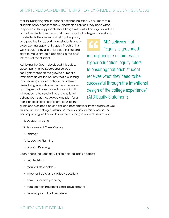toolkit). Designing the student experience holistically ensures that all students have access to the supports and services they need when they need it. This approach should align with institutional goals, values, and other student success work. It requires that colleges understand

the students they serve and reimagine policy and practice to support those students and to close existing opportunity gaps. Much of this work is guided by use of targeted institutional data to make strategic decisions in the best interests of the student.

Achieving the Dream developed this guide, accompanying workbook, and college spotlights to support the growing number of institutions across the country that are shifting to scheduling courses in shorter academic terms. This guide is shaped by the experiences of colleges that have made this transition. It is intended to be used with cross-functional college teams as they explore and plan for a transition to offering flexible term courses. The

ATD believes that "Equity is grounded in the principle of fairness. In higher education, equity refers to ensuring that each student receives what they need to be successful through the intentional design of the college experience" (ATD Equity Statement).

guide and workbook include tips and best practices from colleges as well as resources to help get institutional teams ready for this transition. The accompanying workbook divides the planning into five phases of work:

- 1. Decision Making
- 2. Purpose and Case Making
- 3. Strategy
- 4. Academic Planning
- 5. Support Planning

Each phase includes activities to help colleges address:

- key decisions
- required stakeholders
- important data and strategy questions
- communication planning
- required training/professional development
- planning for critical next steps

ACHIEVING THE DREAM 6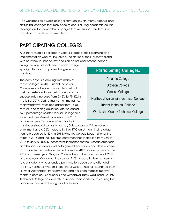The workbook also walks colleges through key structural, process, and attitudinal changes that may need to occur during academic course redesign and student affairs changes that will support students in a transition to shorter academic terms.

### PARTICIPATING COLLEGES

ATD interviewed six colleges in various stages of their planning and implementation work for this guide. The stories of their journeys along with how they launched, key decision points, and lessons learned

along the way are included in each college spotlight that accompanies the guide and workbook.

The early data is promising from many of these colleges. In 2012, Trident Technical College made the decision to deconstruct their semester and saw their student course success rates increase from 63.2% to 75.3%, in the fall of 2017. During that same time frame, their withdrawal rates decreased from 15.8% to 9.4%, and their graduation rate increased by 8 percentage points. Odessa College also launched their 8-week courses in the 2014 academic year. Two years after introducing

### Participating Colleges:

Amarillo College Grayson College Odessa College Northeast Wisconsin Technical College Trident Technical College Waukesha County Technical College

this deconstructed semester format, Odessa saw a 13% increase in enrollment and a 26% increase in their FTIC enrollment; their graduation rate doubled to 42% in 2014. Amarillo College began shortening terms in 2016 and their full-time enrollment has increased from 36% in 2016 to 46% in 2020. Success rates increased for their African American and Hispanic students, and both general education and developmental course success rates increased from the 2012 academic year to the 2017 academic year. Grayson College began their journey in fall 2017, and one year after launching saw an 11% increase in their conversion rate of students who attended part-time to students who attended full-time. Northeast Wisconsin Technical College has just launched their "8-Week Advantage" transformation and has seen modest improvements in both course success and withdrawal rates. Waukesha County Technical College has recently launched their shorter terms during the pandemic and is gathering initial data sets.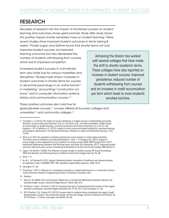### RESEARCH

Decades of research into the impact of shortened courses on student learning and outcomes shows great promise. Study after study shows the positive impact shorter semesters have on student learning. 3 More recent studies show improved student outcomes in terms lasting 8 weeks. 4 Finally, Logan and Geltner found that shorter terms not only

improved student success via improved learning outcomes but also decreased the number of students withdrawing from courses, which led to improved completion.

Increased student success in a shortened term also holds true for various modalities and disciplines. 5 Studies have shown increases in student outcomes in shorter terms for courses in abnormal psychology in an online format,<sup>6</sup> in marketing, $7$  accounting, $8$  construction science,<sup>9</sup> and in computer information systems, history, and communication courses. 10

Achieving the Dream has worked with several colleges that have made the shift to shorter academic terms. These colleges have also reported an increase in student success, improved persistence, reduced number of students withdrawing from courses and an increase in credit accumulation per term which leads to more students enrolled full-time.

These positive outcomes also hold true for graduate-level courses,<sup>11</sup> courses offered at four-year colleges and universities,<sup>12</sup> and community colleges.<sup>13</sup>

<sup>3</sup> Carrington, L. G. (2010). The impact of course scheduling on student success in intermediate accounting. *American Journal of Business Education*. 3(4), 51–60; Austin, A.M., and Leland Gustafson. (2006) Impact of course length on student learning. *Journal of Economics and Finance Education*, 5(1): 26–37; and Ferguson, J. M., & DeFelice, A. E. (2010). Length of online course and student satisfaction, perceived learning, and academic performance. *The International Review of Research in Open and Distributed Learning*, 11(2), 73–84.

<sup>4</sup> Shaw, et al. 2013. An evaluation of student outcomes by course duration in online higher education. *The Online Journal of Distance Learning Administration*, 16(4), 1–9; Gamboa, B.R. (2013). Impact of course length on and subsequent use as a predictor of course success 2008–2009 through 2012–2013. Institutional Effectiveness Research and Planning report; and Sloan, Ron (November 2017). Improving student outcomes utilizing 8-week courses: Considering its feasibility for Ivy Tech Community College, DMA Version III.

<sup>5</sup> Logan, R. & Geltner, P. (2000). The influence of session length on student success, RP Group Proceedings 2000: The Research and Planning Group for California Community Colleges, April 26, 35–48.

<sup>6</sup> Shaw, 1–9.

<sup>7</sup> Ho, W. L., & Polonsky, M. (2012, August). Marketing students' perception of traditional and intensive delivery: An exploratory study. In ANZMAC 2007: 3Rs, reputation responsibility relevance, 3268–3273.

<sup>8</sup> Carrington, 51–60.

<sup>9</sup> Choudhury, I. (2017). Influence of a compressed semester on student performance in a construction science course. American Society for Engineering Education Conference, Columbus, Ohio.

<sup>10</sup> Gamboa.

<sup>11</sup> Seamon, M. (2004). Short and long-term differences in instructional effectiveness between intensive and semester-length courses. *Teachers College Record*, 106(4), 852–874.

<sup>12</sup> Chodhury, I. Lutes, L. & Davies, R. (2013). Comparing the rigor of compressed format courses to their regular semester counterparts. *Innovative Higher Education*, 38, 19–29, 2013; and Carrington, 51–60.

<sup>13</sup> 2010 Sheldon, C.Q., Durella, N.R. (2010). Success rates for students taking compressed and regular length developmental courses in the community college. *Community College Journal of Research and Practice*, 34, 39–54; Shaw, 1–9; Sloan; and Logan and Geltner, 35–48.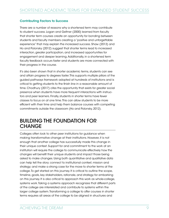#### Contributing Factors to Success

There are a number of reasons why a shortened term may contribute to student success. Logan and Geltner (2000) learned from faculty that shorter term courses create an opportunity for bonding between students and faculty members creating a "positive and unforgettable experience" that may explain the increased success. Shaw (2013) and Ho and Polonsky (2012) suggest that shorter terms lead to increased interaction, greater participation, and increased opportunities for engagement and deeper learning. Additionally, in a shortened term faculty feedback occurs faster and students are more connected with their progress in the course.

It's also been shown that in shorter academic terms, students can see and attain progress to degrees faster. This supports multiple pillars of the guided pathways framework adopted at hundreds of institutions and is critical to getting students to the finish line in a reasonable amount of time. Chodhury (2017) cites the opportunity that exists for greater social presence when students have more frequent interactions with instructors and peer learners. Finally, students in shorter terms have fewer classes to focus on at one time. This can allow students to be more efficient with their time and help them balance courses with competing commitments outside the classroom (Ho and Polonsky, 2012).

### BUILDING THE FOUNDATION FOR **CHANGE**

Colleges often look to other peer institutions for guidance when making transformative change at their institutions. However, it is not enough that another college has successfully made this change in their unique context. Support for and commitment to the work at an institution will require the college to communicate effectively how the changes will benefit their unique students and impact those being asked to make changes. Using both quantitative and qualitative data can help tell the story; connect to institutional context, mission and strategy; and make a strong case for the move to shorter terms at the college. To get started on this journey. It is critical to outline the scope, timeline, goals, key stakeholders, rationale, and strategy for embarking on this journey. It is also critical to approach this work as whole-college, systems work. Taking a systems approach recognizes that different parts of the college are interrelated and contribute to systems within the larger college system. Transforming a college to offer courses in shorter terms requires all areas of the college to be aligned in structures and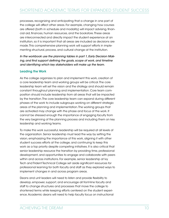processes, recognizing and anticipating that a change in one part of the college will affect other areas. For example, changing how courses are offered (both in schedule and modality) will impact advising, financial aid, finances, human resources, and the bookstore. These areas are interconnected and directly impact the student experience at an institution, so it is important that all areas are included as decisions are made. This comprehensive planning work will support efforts in implementing structural, process, and cultural change at the institution.

*In the workbook use the planning tables in part 1, Early Decision Making, and find support defining the goals, scope of work, and timeline and identifying which key stakeholders will make up the team.* 

#### Leading the Work

As the college organizes to plan and implement this work, creation of a core leadership team and working groups will be critical. The core leadership team will set the vision and the strategy and should remain constant throughout planning and implementation. Core team composition should include leadership from all areas that will be impacted by the transition. The core leadership team can expand during different phases of the work to include subgroups working on different strategic areas of the planning and implementation. The working groups that are activated may change with the phase and focus of the work. It cannot be stressed enough the importance of engaging faculty from the very beginning of the planning process and including them on key leadership and working teams.

To make this work successful, leadership will be required at all levels of the organization. Senior leadership must lead the way by setting the vision, emphasizing the importance of this work, aligning it with other student success efforts at the college, and continuing to keep this work as a top priority despite competing initiatives. It is also critical that senior leadership resource the transition by providing time, professional development, and opportunities to engage and collaborate with peers within and across institutions. For example, senior leadership at Ivy Tech and Trident Technical College set aside significant resources for professional learning for both faculty and staff as they explored ways to implement changes in and across program areas.

Deans and unit leaders will need to listen and provide flexibility to develop, empower, support, and encourage all front-line faculty and staff to change structures and processes that move the college to shortened terms while keeping efforts centered on the student experience. Academic deans will need to help faculty focus on instructional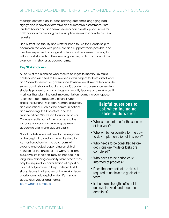redesign centered on student learning outcomes, engaging pedagogy, and innovative formative and summative assessment. Both Student Affairs and academic leaders can create opportunities for collaboration by creating cross-discipline teams to innovate process redesign.

Finally, front-line faculty and staff will need to use their leadership to champion the work with peers, aid and support where possible, and use their expertise to change structures and processes in a way that will support students in their learning journey, both in and out of the classroom, in shorter academic terms.

#### Key Stakeholders

All parts of the planning work require colleges to identify key stakeholders who will need to be involved in this project for both direct work and/or endorsement or governance. Possible key stakeholders include senior administration, faculty and staff, academic governance leaders, students (current and incoming), community leaders and workforce. It is critical that planning and implementation teams include represen-

tation from both academic affairs, student affairs, institutional research, human resources, and operations such as the communications and marketing, the bookstore, and the finance offices. Waukesha County Technical College credits part of their success to the inclusive approach to planning between academic affairs and student affairs.

Not all stakeholders will need to be engaged at the beginning and for the entire duration. As mentioned earlier, the core team will expand and adjust depending on skillset required for the phase of the work. For example, some stakeholders may be needed in a long-term planning capacity while others may only be required for consultation at a particular critical juncture. To help colleges build strong teams in all phases of this work a team charter can help explicitly identify mission, goals, roles, values and norms. [Team Charter Template](https://documentcloud.adobe.com/link/review?uri=urn:aaid:scds:US:57351a74-619d-43ee-abeb-87dd128bf181)

#### Helpful questions to ask when including stakeholders are:

- Who is accountable for the success of this work?
- Who will be responsible for the dayto-day implementation of this work?
- Who needs to be consulted before decisions are made or tasks are completed?
- Who needs to be periodically informed of progress?
- Does the team reflect the skillset required to achieve the goals of the team?
- Is the team strength sufficient to achieve the work and meet the deadlines?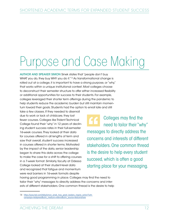# Purpose and Case Making

AUTHOR AND SPEAKER SIMON Sinek states that "people don't buy WHAT you do, they buy WHY you do it."<sup>14</sup> As transformational change is rolled out at a college, it is important to have a strong purpose, or "why," that works within a unique institutional context. Most colleges choose to deconstruct their semester structure to offer either increased flexibility or additional opportunities for success to their students. For example, colleges leveraged their shorter term offerings during the pandemic to help students reduce the academic burden but still maintain momentum toward their goals. Students had the option to enroll late and still

take a few classes. If they needed to disenroll due to work or lack of childcare, they lost fewer courses. Colleges like Trident Technical College found their "why" in 12 years of declining student success rates in their full-semester 16-week courses. They looked at their data for courses offered in all lengths of term and saw that overall, student success increased in courses offered in shorter terms. Motivated by the impact of the data, senior leadership began to share this data across the college to make the case for a shift to offering courses in a 7-week format. Similarly, faculty at Odessa College looked at their student-level data and recognized that fatigue and momentum were real barriers in 16-week formats despite

Colleges may find the need to tailor their "why" messages to directly address the concerns and interests of different stakeholders. One common thread is the desire to help every student succeed, which is often a good starting place for your messaging.

having good programming in place. Colleges may find the need to tailor their "why" messages to directly address the concerns and interests of different stakeholders. One common thread is the desire to help

<sup>14</sup> https://www.ted.com/talks/simon\_sinek\_how\_great\_leaders\_inspire\_action?utm\_ [campaign=tedspread&utm\\_medium=referral&utm\\_source=tedcomshare](https://www.ted.com/talks/simon_sinek_how_great_leaders_inspire_action?utm campaign=tedspread&utm_medium=referral&utm_source=tedcomshare)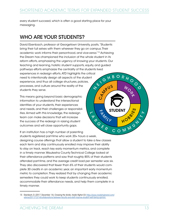$\epsilon$ 7 **FANCY STUDENT** 

every student succeed, which is often a good starting place for your messaging.

### WHO ARE YOUR STUDENTS?

David Ebenbach, professor at Georgetown University, posits, "Students bring their full selves with them wherever they go on campus. Their academic work informs their personhood, and vice-versa."15 Achieving the Dream has championed the inclusion of the whole student in its reform efforts, emphasizing the urgency of knowing your students. Our teaching and learning, holistic student supports, equity, and guided pathways efforts emphasize the centrality of the students lived experiences in redesign efforts. ATD highlights the critical need to intentionally design all aspects of the student experience, and thus all college structures, policies, processes, and culture around the reality of the students they serve.  $\Leftrightarrow$ E MPUS G H B O R H O O

This means going beyond basic demographic information to understand the intersectional identities of your students, their experiences and needs, and their challenges or responsibilities. Armed with this knowledge, the redesign team can make decisions that will increase the success of the redesign in raising student outcomes and will close opportunity gaps.

If an institution has a high number of parenting students registered part-time who work 20+ hours a week, designing course offerings that allow a student to take a few classes each term and stay continuously enrolled may improve their ability to stay on track, reach key early momentum metrics, and complete in a timely manner. Waukesha County Technical College looked at their attendance patterns and saw that roughly 85% of their students attended part-time, and the average credit load per semester was six. They also discovered that fewer than 6% of their students would complete 30 credits in an academic year, an important early momentum metric to completion. They realized that by changing their academic semesters they could work to keep students continuously enrolled, accommodate their attendance needs, and help them complete in a timely manner. POFR COMMUN

 $\blacktriangle$  $\blacktriangleright$ 

**D** 

WORK

HOBBLY

STUDENT  $\frac{1}{\omega}$ 

<sup>15</sup> Ebenbach, D. (2017, December 14). Crossing the divide. *Inside Higher Ed*. [https://www.insidehighered.com/](about:blank) [advice/2017/12/14/collaborations-between-faculty-and-staff-improve-student-well-being-opinion](about:blank)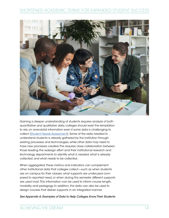

Gaining a deeper understanding of students requires analysis of both quantitative and qualitative data; colleges should resist the temptation to rely on anecdotal information even if some data is challenging to collect [\(Student Needs Assessment](https://www.achievingthedream.org/sites/default/files/resources/atd_hss_toolkit_chapter_2_student_needs_assessment.docx)). Some of the data needed to understand students is already gathered by the institution through existing processes and technologies, while other data may need to have new processes created. This requires close collaboration between those leading the redesign effort and their institutional research and technology departments to identify what is needed, what is already collected, and what needs to be collected.

When aggregated, these metrics and indicators can complement other institutional data that colleges collect—such as when students are on campus for their classes, what supports are underused compared to reported need, or when during the semester different supports are used most. This information can be used to inform course length, modality, and pedagogy. In addition, this data can also be used to design courses that deliver supports in an integrated manner.

*See Appendix A: Examples of Data to Help Colleges Know Their Students*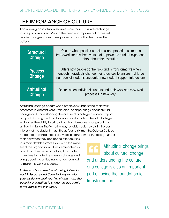### THE IMPORTANCE OF CULTURE

Transforming an institution requires more than just isolated changes in one particular area. Moving the needle to improve outcomes will require changes to structures, processes, and attitudes across the college.

| <b>Structural</b><br>Change     | Occurs when policies, structures, and procedures create a<br>framework for new behaviors that improve the student experience<br>throughout the institution.                                    |
|---------------------------------|------------------------------------------------------------------------------------------------------------------------------------------------------------------------------------------------|
| <b>Process</b><br><b>Change</b> | Alters how people do their job and is transformative when<br>enough individuals change their practices to ensure that large<br>numbers of students encounter new student support interactions. |
| <b>Attitudinal</b><br>Change    | Occurs when individuals understand their work and view work<br>processes in new ways.                                                                                                          |

Attitudinal change occurs when employees understand their work processes in different ways. Attitudinal change brings about cultural change and understanding the culture of a college is also an important part of laying the foundation for transformation. Amarillo College embraces the ability to bring about transformative change quickly at their institution. The "Amarillo Way" enables quick pivots in the best interests of the student in as little as four to six months. Odessa College noted that they had three solid years of transforming the college under

their belt when they decided to offer courses in a more flexible format. However, if the mindset of the organization is firmly entrenched in a traditional semester structure, it may take more time to make the case for change and bring about the attitudinal change required to make this work a success.

*In the workbook, use the planning tables in part 2, Purpose and Case Making, to help your institution craft your "why" and make the case for a transition to shortened academic terms across the institution.* 

Attitudinal change brings about cultural change, and understanding the culture of a college is also an important part of laying the foundation for transformation.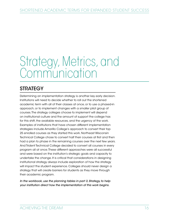## Strategy, Metrics, and Communication

### **STRATEGY**

Determining an implementation strategy is another key early decision. Institutions will need to decide whether to roll out the shortened academic term with all of their classes at once, or to use a phased-in approach, or to implement changes with a smaller pilot group of courses. The strategy colleges choose to implement will depend on institutional culture and the amount of support the college has for this shift, the available resources, and the urgency of the work. Examples of institutions that have chosen different implementation strategies include Amarillo College's approach to convert their top 25 enrolled courses as they started this work. Northeast Wisconsin Technical College chose to convert half their courses at first and then had a plan to phase in the remaining courses over the next few years. And Trident Technical College decided to convert all courses in every program all at once. These different approaches were all successful and were based on the institution's strategic goals and capacity to undertake the change. It is critical that considerations in designing institutional strategy always include exploration of how the strategy will impact the student experience. Colleges should never design a strategy that will create barriers for students as they move through their academic program.

*In the workbook, use the planning tables in part 3, Strategy, to help your institution direct how the implementation of this work begins.*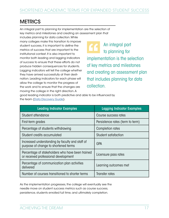### **METRICS**

An integral part to planning for implementation are the selection of key metrics and milestones and creating an assessment plan that

includes planning for data collection. While many colleges make this transition to improve student success, it is important to define the metrics of success that are important to the institutional context. It is also important to monitor both leading and lagging indicators of success to ensure that these efforts do not produce hidden consequences for students. Lagging indicators will tell the college whether they have arrived successfully at their destination. Leading indicators for each phase will allow the college to monitor the progress of the work and to ensure that the changes are moving the college in the right direction. A

An integral part 66 to planning for implementation is the selection of key metrics and milestones and creating an assessment plan that includes planning for data collection.

good leading indicator is both predictive and able to be influenced by the team [\(Data Discovery Guide](https://www.achievingthedream.org/resource/14989/data-discovery-guide)).

| <b>Leading Indicator Examples</b>                                                        | <b>Lagging Indicator Examples</b> |
|------------------------------------------------------------------------------------------|-----------------------------------|
| Student attendance                                                                       | Course success rates              |
| First-term grades                                                                        | Persistence rates (term to term)  |
| Percentage of students withdrawing                                                       | Completion rates                  |
| Student credits accumulated                                                              | Student satisfaction              |
| Increased understanding by faculty and staff of<br>purpose of change to shortened terms  | <b>GPA</b>                        |
| Percentage of stakeholders who have been trained<br>or received professional development | Licensure pass rates              |
| Percentage of communication plan activities<br>delivered                                 | Learning outcomes met             |
| Number of courses transitioned to shorter terms                                          | Transfer rates                    |

As the implementation progresses, the college will eventually see the needle move on student success metrics such as course success, persistence, students enrolled full time, and ultimately completion.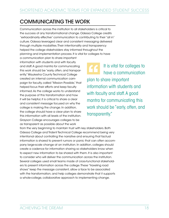### COMMUNICATING THE WORK

Communication across the institution to all stakeholders is critical to the success of any transformational change. Odessa College credits "extraordinarily effective" communication to contributing to their "all in" culture. Odessa leveraged clear and consistent messaging delivered through multiple modalities. Their intentionality and transparency helped the college stakeholders stay informed throughout the planning and implementation process. It is vital for colleges to have

a communication plan to share important information with students and with faculty and staff. A good mantra for communicating this work should be "early, often, and transparently." Waukesha County Technical College created an internal communication campaign for faculty, called "Mission Possible," that helped focus their efforts and keep faculty informed. As the college works to understand the purpose of this transformation and how it will be helpful, it is critical to share a clear and consistent message focused on why the college is making the change. In addition, the college should have a clear plan to share this information with all levels of the institution. Grayson College encourages colleges to be as transparent as possible about the work

It is vital for colleges to  $|G|$ have a communication plan to share important information with students and with faculty and staff. A good mantra for communicating this work should be "early, often, and transparently."

from the very beginning to maintain trust with key stakeholders. Both Odessa College and Trident Technical College recommend being very intentional about controlling the narrative and ensuring that factual information is shared to prevent rumors or panic that can often accompany large-scale change at an institution. In addition, colleges should create a cadence for information sharing so stakeholders know when to expect new information to be shared with them. It is also important to consider who will deliver the communication across the institution. Several colleges used small teams made of cross-functional stakeholders to present information across the college. These "traveling road shows" keep the message consistent, allow a face to be associated with the transformation, and help colleges demonstrate that it supports a whole-college, collaborative approach to implementing change.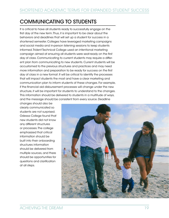### COMMUNICATING TO STUDENTS

It is critical to have all students ready to successfully engage on the first day of the new term. Thus, it is important to be clear about the behaviors and deadlines that will set up a student for success in a shortened semester. Colleges have leveraged marketing campaigns and social media and in-person listening sessions to keep students informed. Trident Technical College used an intentional marketing campaign aimed at ensuring all students were seat-ready on the first day of class. Communicating to current students may require a different plan from communicating to new students. Current students will be accustomed to the previous structures and practices and may need more information and preparation to be ready for success on the first day of class in a new format. It will be critical to identify the processes that will impact students the most and have a clear marketing and communication plan to inform students of these changes. For example, if the financial aid disbursement processes will change under the new structure, it will be important for students to understand to the changes. This information should be delivered to students in a multitude of ways, and the message should be consistent from every source. Deadline

changes should also be clearly communicated so students are not surprised. Odessa College found that new students did not know any different structures or processes. The college emphasized that critical information should be built into their onboarding structures information should be delivered from multiple sources, and there should be opportunities for questions and clarification at all steps.

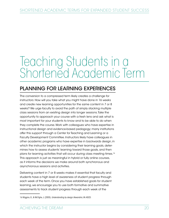## Teaching Students in a Shortened Academic Term

### PLANNING FOR LEARNING EXPERIENCES

The conversion to a compressed term likely creates a challenge for instructors: How will you take what you might have done in 16 weeks and create new learning opportunities for the same content in 7 or 8 weeks? We urge faculty to avoid the path of simply stacking multiple class sessions from an existing design into longer sessions. Take the opportunity to approach your course with a fresh lens and ask what is most important for your students to know and to be able to do when they complete the course. Work with colleagues who have expertise in instructional design and evidence-based pedagogy; many institutions offer this support through a Center for Teaching and Learning or a Faculty Development Committee. Instructors likely have colleagues in other academic programs who have expertise in backwards design, in which the instructor begins by considering their learning goals, determines how to assess students' learning toward those goals, and then plans for learning activities that will occur during class meeting times. 16 This approach is just as meaningful in hybrid or fully online courses, as it informs the decisions we make around both synchronous and asynchronous sessions and activities.

Delivering content in 7 or 8 weeks makes it essential that faculty and students have a high level of awareness of student progress through each week of the term. Once you have established goals for student learning, we encourage you to use both formative and summative assessments to track student progress through each week of the

<sup>16</sup> Wiggins, G., & McTighe, J. (2005). *Understanding by design*. Alexandria, VA: ASCD.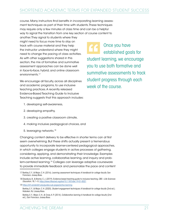course. Many instructors find benefits in incorporating learning assessment techniques as part of their time with students. These techniques may require only a few minutes of class time and can be a helpful way to signal the transition from one key section of course content to

another. They signal to students where they might need to focus more time to stay on track with course material and they help the instructor understand where they might need to change the pacing of class activities. As with other suggestions shared in this section, the mix of formative and summative assessment approaches can be done well in face-to-face, hybrid, and online classroom environments. 17

We encourage all faculty, across all disciplines and academic programs, to use inclusive teaching practices. A recently released Evidence-Based Teaching Guide to Inclusive Teaching suggests that this approach includes:

Once you have " established goals for student learning, we encourage you to use both formative and summative assessments to track student progress through each week of the course.

- 1. developing self-awareness,
- 2. developing empathy,
- 3. creating a positive classroom climate,
- 4. making inclusive pedagogical choices, and
- 5. leveraging networks. 18

Changing content delivery to be effective in shorter terms can at first seem overwhelming. But these shifts actually present a tremendous opportunity to incorporate learner-centered pedagogical approaches, in which colleges engage students in active processes of gathering, considering, applying, and demonstrating their knowledge. Examples include active learning, collaborative learning, and inquiry and problem-centered learning. 19 Colleges can leverage adaptive courseware to provide immediate feedback and personalize the pace and content

<sup>17</sup> Barkley, E. F., & Major, C. H. (2016). *Learning assessment techniques: A handbook for college faculty*. San Francisco: Jossey-Bass.

<sup>18</sup> Dewsbury, B., & Brame, C. J. (2019). Evidence-based teaching guide to inclusive teaching. *CBE—Life Sciences Education*, 18, 1–5.<https://www.lifescied.org/doi/10.1187/cbe.19-01-0021>

<sup>19</sup> [https://cft.vanderbilt.edu/guides-sub-pages/active-learning](https://cft.vanderbilt.edu/guides-sub-pages/active-learning/)

Barkley, E. F., & Major, C. H. (2020). *Student engagement techniques: A handbook for college faculty* (2nd ed.). Hoboken, NJ: Jossey-Bass.

Barkley, E. F., Major, C. H., & Cross, K. P. (2014). *Collaborative learning: A handbook for college faculty* (2nd ed.). San Francisco: Jossey-Bass.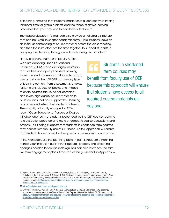of learning, ensuring that students master crucial content while freeing instructor time for group projects and the range of active learning processes that you may wish to add to your toolbox. 20

The flipped classroom format can also provide an alternate structure that can be useful in shorter academic terms. Here, students develop an initial understanding of course material before the class meeting, and then the instructor uses the time together to support students in applying their learning through intentionally designed activities. 21

Finally, a growing number of faculty nationwide are adopting Open Educational Resources (OER), which are "digital materials that are free and openly licensed, allowing instructors and students to collaborate, adapt, use, and share them."<sup>22</sup> OER can be any type of learning content, from assessments, articles, lesson plans, videos, textbooks, and images to entire courses; faculty select, combine, and revise high-quality course materials to build courses that best support their learning outcomes and reflect their students' interests. The majority of faculty engaged in ATD's recent Open Educational Resources Degree

Students in shortened term courses may benefit from faculty use of OER because this approach will ensure that students have access to all required course materials on day one.

initiative reported that students responded well to OER courses, coming to class better prepared and more engaged in course discussions and projects. This finding suggests that students in shortened-term courses may benefit from faculty use of OER because this approach will ensure that students have access to all required course materials on day one.

In the workbook, use the planning table in part 4, Academic Planning, to help your institution outline the structural, process, and attitudinal changes needed for course redesign. You can also reference the sample term engagement plan at the end of this guidebook in Appendix A.

<sup>20</sup> Vignare, K., Lammers Cole, E., Greenwood, J., Buchan, T., Tesene, M., DeGruyter, J., Carter, D., Luke, R., O'Sullivan, P., Berg, K., Johnson, D., & Kruse, S. (2018). *A guide for implementing adaptive courseware: From planning through scaling*. Joint publication of Association of Public and Land-grant Universities and Every Learner Everywhere. [https://www.aplu.org/library/a-guide-for-implementing-adaptive-courseware-from](https://www.aplu.org/library/a-guide-for-implementing-adaptive-courseware-from-planning-through-scaling/File)[planning-through-scaling/File](https://www.aplu.org/library/a-guide-for-implementing-adaptive-courseware-from-planning-through-scaling/File)

<sup>21</sup> <https://facultyinnovate.utexas.edu/flipped-classroom>

<sup>22</sup> Griffiths, R., Mislevy, J., Wang, S., Ball, A., Shear, L., & Desrochers, D. (2020). *OER at scale: The academic and economic outcomes of Achieving the Dream's OER Degree Initiative*. Menlo Park, CA: SRI International. [https://www.achievingthedream.org/resource/17993/oer-at-scale-the-academic-and-economic-outcomes-of](https://www.achievingthedream.org/resource/17993/oer-at-scale-the-academic-and-economic-outcomes-of-achieving-the-dream-s-oer-degree-initiative)[achieving-the-dream-s-oer-degree-initiative](https://www.achievingthedream.org/resource/17993/oer-at-scale-the-academic-and-economic-outcomes-of-achieving-the-dream-s-oer-degree-initiative)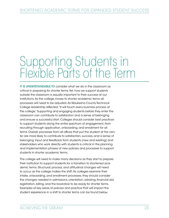## Supporting Students in Flexible Parts of the Term

IT IS UNDERSTANDABLE TO consider what we do in the classroom as critical in preparing for shorter terms. Yet, how we support students outside the classroom is equally important to their success at our institutions. As the college moves to shorter academic terms all processes will need to be adjusted. As Waukesha County Technical College leadership reflected, "It will touch every business process at the college." Supporting and engaging students before they enter the classroom can contribute to satisfaction and a sense of belonging and ensure a successful start. Colleges should consider best practices to support students along the entire spectrum of engagement, from recruiting through application, onboarding, and enrollment for all terms. Overall, processes from all offices that put the student at the center are more likely to contribute to satisfaction, success, and a sense of belonging. Input and feedback from students (new and existing) and stakeholders who work directly with students is critical in the planning and implementation phases of new policies and processes to support students in shorter academic terms.

The college will need to make many decisions as they start to prepare their institution to support students for a transition to shortened academic terms. Structural, process, and attitudinal changes will need to occur as the college makes the shift. As colleges examine their intake, onboarding, and enrollment processes, they should consider the changes needed in admissions, orientation, advising, financial aid, registration, billing, and the bookstore to be ready for shorter terms. Examples of key areas of policies and practice that will impact the student experience in a shift to shorter terms can be found below.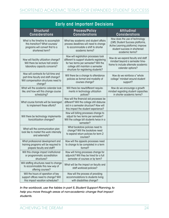| <b>Early and Important Decisions</b>                                                                                           |                                                                                                                                                                                                       |                                                                                                                                                             |  |  |
|--------------------------------------------------------------------------------------------------------------------------------|-------------------------------------------------------------------------------------------------------------------------------------------------------------------------------------------------------|-------------------------------------------------------------------------------------------------------------------------------------------------------------|--|--|
| <b>Structural</b><br><b>Considerations</b>                                                                                     | <b>Process/Policy</b><br><b>Considerations</b>                                                                                                                                                        | Attitudinal<br><b>Considerations</b>                                                                                                                        |  |  |
| What is the timeline to accomplish<br>this transition? What courses/<br>programs will convert first to a<br>shortened term?    | What key academic and student affairs<br>process deadlines will need to change<br>to accommodate a shift to shorter<br>academic terms?                                                                | How does the use of technology<br>(LMS, Student Success platforms,<br>Acitve Learning platforms) improve<br>student success in shortened<br>academic terms? |  |  |
| How will facility utilization change?<br>Will there be lecture hall and/or<br>laboratory capacity concerns?                    | How will registration processes look<br>different to support students registering<br>for two terms per semester? Will the<br>college still maintain a semester<br>structure for registering students? | How do we expand faculty and staff<br>mindset beyond a semester time-<br>frame to include alternate academic<br>calendar options?                           |  |  |
| How will contracts for full-time and<br>part-time faculty and staff change?<br>Will compensation structures need to<br>change? | Will there be a change to attendance<br>policies as format and modality of<br>courses change?                                                                                                         | How do we reinforce a "whole"<br>college" mindset around student<br>support?                                                                                |  |  |
| What will the academic calendar look<br>like, and how will this change course<br>scheduling?                                   | Will there be new/different require-<br>ments in technology utilization<br>polices?                                                                                                                   | How do we encourage a growth<br>mindset regarding student capacities<br>in shorter academic terms?                                                          |  |  |
| What course formats will be leveraged<br>to implement these efforts?                                                           | How will the financial aid processes be<br>different? Will the college still disburse<br>aid in a semester structure? How will<br>this impact the student experience?                                 |                                                                                                                                                             |  |  |
| Will there be technology implementa-<br>tion/utilization changes?                                                              | How will billing processes change to<br>adjust for two terms per semester?<br>Will the college bill students twice in a<br>semester?                                                                  |                                                                                                                                                             |  |  |
| What will the communication plan<br>look like to market this work internally<br>and externally?                                | What bookstore policies need to<br>change? Will the bookstore need<br>to expand return policies for term 2<br>courses?                                                                                |                                                                                                                                                             |  |  |
| What professional development and<br>training programs will be required to<br>prepare faculty and staff?                       | How will the appeals processes need<br>to change to be completed in a term<br>format?                                                                                                                 |                                                                                                                                                             |  |  |
| Will this change impact institutional<br>or programmatic accreditation<br>structures?                                          | How will hiring processes change for<br>adjuncts? Will they be hired for a full<br>semester of courses or by term?                                                                                    |                                                                                                                                                             |  |  |
| Will staffing structures need to change<br>to accommodate this new way of<br>offering courses?                                 | What will be the impact on faculty and<br>staff workload policies?                                                                                                                                    |                                                                                                                                                             |  |  |
| Will the hours of operation of key<br>support offices need to change? Will<br>this impact vacation schedules?                  | How will the process of providing<br>accommodations to students living<br>with disabilities change?                                                                                                   |                                                                                                                                                             |  |  |

*In the workbook, use the tables in part 5, Student Support Planning, to help you move through areas of non-academic change that impact students.*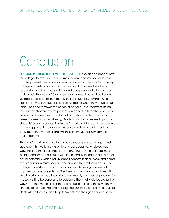# Conclusion

DECONSTRUCTING THE SEMESTER STRUCTURE provides an opportunity for colleges to offer courses in a more flexible and intentional format that helps meet their students' needs in an equitable way. Community college students arrive at our institutions with complex lives. It is our responsibility to know our students and design our institutions to meet their needs. The typical 16-week semester format has not traditionally yielded success for all community college students. Having multiple starts of term allows students to start no matter when they arrive at our institutions and removes the notion of being a "late" registrant. Being late for one shortened term presents an opportunity for the student to be early to the next term. This format also allows students to focus on fewer courses at once, allowing life disruptions to have less impact on students' overall progress. Finally, this format provides part-time students with an opportunity to stay continuously enrolled and still meet the early momentum metrics that will help them successfully complete their programs.

This transformation is more than course redesign, and colleges must approach this work in a systemic and collaborative, whole-college way. The student experience, both in and out of the classroom, must be planned for and assessed with intentionality to reduce barriers that could potentially widen equity gaps. Leadership at all levels and across the organization must prioritize and support this work and ensure the college understands how this approach to delivering courses will improve success for students. Effective communication practices will also be critical to keep the college community informed of progress, for the work still to be done, and to celebrate the small victories along the way. While this type of shift is not a silver bullet, it is another key equity strategy to reimagining and redesigning our institutions to meet our students where they are and help them achieve their goals successfully.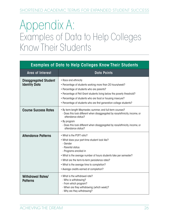## Appendix A: Examples of Data to Help Colleges Know Their Students

| <b>Examples of Data to Help Colleges Know Their Students</b> |                                                                                                                                                                                                                                                                                                                                                       |  |
|--------------------------------------------------------------|-------------------------------------------------------------------------------------------------------------------------------------------------------------------------------------------------------------------------------------------------------------------------------------------------------------------------------------------------------|--|
| <b>Area of Interest</b>                                      | <b>Data Points</b>                                                                                                                                                                                                                                                                                                                                    |  |
| <b>Disaggregated Student</b><br><b>Identity Data</b>         | • Race and ethnicity<br>• Percentage of students working more than 20 hours/week?<br>• Percentage of students who are parents?<br>• Percentage of Pell Grant students living below the poverty threshold?<br>• Percentage of students who are food or housing insecure?<br>• Percentage of students who are first generation college students?        |  |
| <b>Course Success Rates</b>                                  | . By term-length Maymester, summer, and full-term courses?<br>- Does this look different when disaggregated by race/ethnicity, income, or<br>attendance status?<br>• By program<br>- Does this look different when disaggregated by race/ethnicity, income, or<br>attendance status?                                                                  |  |
| <b>Attendance Patterns</b>                                   | • What is the PT/FT ratio?<br>. What does your part-time student look like?<br>- Gender<br>- Parental status<br>- Programs enrolled in<br>• What is the average number of hours students take per semester?<br>• What are the term-to-term persistence rates?<br>• What is the average time to completion?<br>• Average credits earned at completion? |  |
| <b>Withdrawal Rates/</b><br><b>Patterns</b>                  | • What is the withdrawal rate?<br>- Who is withdrawing?<br>- From which program?<br>- When are they withdrawing (which week)?<br>- Why are they withdrawing?                                                                                                                                                                                          |  |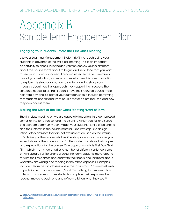## Appendix B: Sample Term Engagement Plan

#### Engaging Your Students Before the First Class Meeting

Use your Learning Management System (LMS) to reach out to your students in advance of the first class meeting. This is an important opportunity to check in, introduce yourself, convey your excitement about the course that's about to begin, and set a tone that you want to see your students succeed. If a compressed semester is relatively new at your institution, you may also want to use this communication to explain this structural change to students and to share your thoughts about how this approach may support their success. The schedule necessitates that students have their required course materials from day one, so part of your outreach should include confirming that students understand what course materials are required and how they can access them.

#### Making the Most of the First Class Meeting/Start of Term

The first class meeting or two are especially important in a compressed semester. The tone you set and the extent to which you foster a sense of classroom community can impact your students' sense of belonging and their interest in the course material. One key step is to design introductory activities that are not exclusively focused on the instructor's delivery of the course syllabus. Create space for you to share your expectations of the students and for the students to share their hopes and expectations for the course. One popular activity is First Day Graffiti, in which the instructor writes a number of different sentence stems on whiteboards or flip charts around the room; students move around to write their responses and chat with their peers and instructor about what they are writing and reading in the other responses. Examples include "I learn best in classes where the instructor …," "I am most likely to participate in classes when …," and "Something that makes it hard to learn in a course is …." As students complete their responses, the teacher moves to each one and reflects a bit on what they see. 23

<sup>23</sup> [https://www.facultyfocus.com/articles/course-design-ideas/first-day-of-class-activities-that-create-a-climate](https://www.facultyfocus.com/articles/course-design-ideas/first-day-of-class-activities-that-create-a-climate-for-learning/)[for-learning/](https://www.facultyfocus.com/articles/course-design-ideas/first-day-of-class-activities-that-create-a-climate-for-learning/)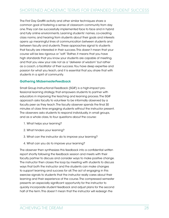The First Day Graffiti activity and other similar techniques share a common goal of fostering a sense of classroom community from day one. They can be successfully implemented face to face and in hybrid and fully online environments. Learning students' names, co-creating class norms, and hearing from students about their goals and interests opens up meaningful lines of communication between students and between faculty and students. These approaches signal to students that faculty are interested in their success. This doesn't mean that your course will be less rigorous or "soft." Rather, it means that you have high standards that you know your students are capable of meeting, and that you view your role not as a "deliverer of wisdom" but rather as a coach, a facilitator of their success. You have deep expertise and passion for what you teach, and it is essential that you share that with students in a spirit of community.

#### Gathering MidsemesterFeedback

Small Group Instructional Feedback (SGIF) is a high-impact professional learning strategy that empowers students to partner with educators in improving the teaching and learning process. The SGIF approach asks faculty to volunteer to be informally observed by a faculty peer as they teach. The faculty observer spends the final 30 minutes of class time engaging students without the instructor present. The observers asks students to respond individually, in small groups, and as a whole class, to four questions about the course:

- 1. What helps your learning?
- 2. What hinders your learning?
- 3. What can the instructor do to improve your learning?
- 4. What can you do to improve your learning?

The observer then synthesizes this feedback into a confidential written report shortly following the feedback session and meets with their faculty partner to discuss and consider ways to make positive change. The instructor then closes the loop by meeting with students to discuss ways that both the instructor and the students can make changes to support learning and success for all. The act of engaging in this exercise signals to students that the instructor really cares about their learning and their experience of the course. The compressed semester presents an especially significant opportunity for the instructor to quickly incorporate student feedback and adjust plans for the second half of the term. This doesn't mean that the instructor will redesign the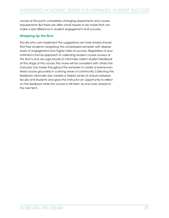course at this point, completely changing assessments and course requirements. But there are often small tweaks to be made that can make a real difference in student engagement and success.

#### Wrapping Up the Term

Faculty who can implement the suggestions we have shared should find their students navigating the compressed semester with deeper levels of engagement and higher rates of success. Regardless of your institution's formal approach to collecting student course surveys at the term's end, we urge faculty to informally collect student feedback at this stage of the course. This move will be consistent with others the instructor has made throughout the semester to create a learner-centered course grounded in a strong sense of community. Collecting this feedback informally also creates a helpful sense of closure between faculty and students and gives the instructor an opportunity to reflect on the feedback while the course is still fresh, as one looks ahead to the next term.